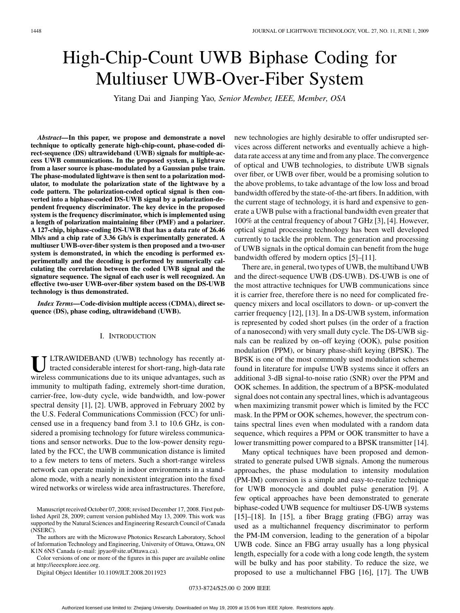# High-Chip-Count UWB Biphase Coding for Multiuser UWB-Over-Fiber System

Yitang Dai and Jianping Yao*, Senior Member, IEEE, Member, OSA*

*Abstract—***In this paper, we propose and demonstrate a novel technique to optically generate high-chip-count, phase-coded direct-sequence (DS) ultrawideband (UWB) signals for multiple-access UWB communications. In the proposed system, a lightwave from a laser source is phase-modulated by a Gaussian pulse train. The phase-modulated lightwave is then sent to a polarization modulator, to modulate the polarization state of the lightwave by a code pattern. The polarization-coded optical signal is then converted into a biphase-coded DS-UWB signal by a polarization-dependent frequency discriminator. The key device in the proposed system is the frequency discriminator, which is implemented using a length of polarization maintaining fiber (PMF) and a polarizer. A 127-chip, biphase-coding DS-UWB that has a data rate of 26.46 Mb/s and a chip rate of 3.36 Gb/s is experimentally generated. A multiuser UWB-over-fiber system is then proposed and a two-user system is demonstrated, in which the encoding is performed experimentally and the decoding is performed by numerically calculating the correlation between the coded UWB signal and the signature sequence. The signal of each user is well recognized. An effective two-user UWB-over-fiber system based on the DS-UWB technology is thus demonstrated.**

*Index Terms—***Code-division multiple access (CDMA), direct sequence (DS), phase coding, ultrawideband (UWB).**

### I. INTRODUCTION

ULTRAWIDEBAND (UWB) technology has recently attacted considerable interest for short-rang, high-data rate wireless communications due to its unique advantages, such as immunity to multipath fading, extremely short-time duration, carrier-free, low-duty cycle, wide bandwidth, and low-power spectral density [1], [2]. UWB, approved in February 2002 by the U.S. Federal Communications Commission (FCC) for unlicensed use in a frequency band from 3.1 to 10.6 GHz, is considered a promising technology for future wireless communications and sensor networks. Due to the low-power density regulated by the FCC, the UWB communication distance is limited to a few meters to tens of meters. Such a short-range wireless network can operate mainly in indoor environments in a standalone mode, with a nearly nonexistent integration into the fixed wired networks or wireless wide area infrastructures. Therefore,

The authors are with the Microwave Photonics Research Laboratory, School of Information Technology and Engineering, University of Ottawa, Ottawa, ON K1N 6N5 Canada (e-mail: jpyao@site.uOttawa.ca).

Color versions of one or more of the figures in this paper are available online at http://ieeexplore.ieee.org.

Digital Object Identifier 10.1109/JLT.2008.2011923

new technologies are highly desirable to offer undisrupted services across different networks and eventually achieve a highdata rate access at any time and from any place. The convergence of optical and UWB technologies, to distribute UWB signals over fiber, or UWB over fiber, would be a promising solution to the above problems, to take advantage of the low loss and broad bandwidth offered by the state-of-the-art fibers. In addition, with the current stage of technology, it is hard and expensive to generate a UWB pulse with a fractional bandwidth even greater that 100% at the central frequency of about 7 GHz [3], [4]. However, optical signal processing technology has been well developed currently to tackle the problem. The generation and processing of UWB signals in the optical domain can benefit from the huge bandwidth offered by modern optics [5]–[11].

There are, in general, two types of UWB, the multiband UWB and the direct-sequence UWB (DS-UWB). DS-UWB is one of the most attractive techniques for UWB communications since it is carrier free, therefore there is no need for complicated frequency mixers and local oscillators to down- or up-convert the carrier frequency [12], [13]. In a DS-UWB system, information is represented by coded short pulses (in the order of a fraction of a nanosecond) with very small duty cycle. The DS-UWB signals can be realized by on–off keying (OOK), pulse position modulation (PPM), or binary phase-shift keying (BPSK). The BPSK is one of the most commonly used modulation schemes found in literature for impulse UWB systems since it offers an additional 3-dB signal-to-noise ratio (SNR) over the PPM and OOK schemes. In addition, the spectrum of a BPSK-modulated signal does not contain any spectral lines, which is advantageous when maximizing transmit power which is limited by the FCC mask. In the PPM or OOK schemes, however, the spectrum contains spectral lines even when modulated with a random data sequence, which requires a PPM or OOK transmitter to have a lower transmitting power compared to a BPSK transmitter [14].

Many optical techniques have been proposed and demonstrated to generate pulsed UWB signals. Among the numerous approaches, the phase modulation to intensity modulation (PM-IM) conversion is a simple and easy-to-realize technique for UWB monocycle and doublet pulse generation [9]. A few optical approaches have been demonstrated to generate biphase-coded UWB sequence for multiuser DS-UWB systems [15]–[18]. In [15], a fiber Bragg grating (FBG) array was used as a multichannel frequency discriminator to perform the PM-IM conversion, leading to the generation of a bipolar UWB code. Since an FBG array usually has a long physical length, especially for a code with a long code length, the system will be bulky and has poor stability. To reduce the size, we proposed to use a multichannel FBG [16], [17]. The UWB

Manuscript received October 07, 2008; revised December 17, 2008. First published April 28, 2009; current version published May 13, 2009. This work was supported by the Natural Sciences and Engineering Research Council of Canada (NSERC).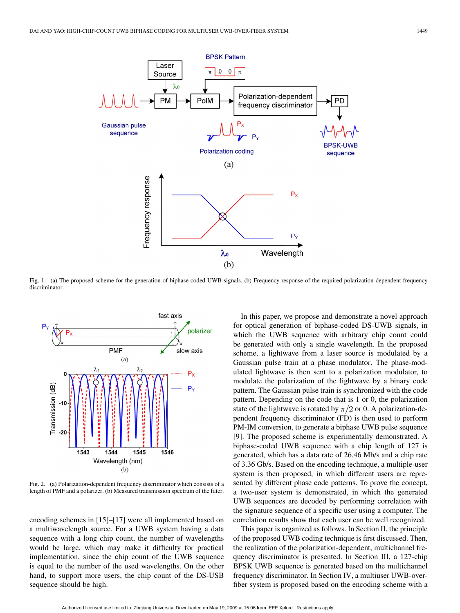

Fig. 1. (a) The proposed scheme for the generation of biphase-coded UWB signals. (b) Frequency response of the required polarization-dependent frequency discriminator.



Fig. 2. (a) Polarization-dependent frequency discriminator which consists of a length of PMF and a polarizer. (b) Measured transmission spectrum of the filter.

encoding schemes in [15]–[17] were all implemented based on a multiwavelength source. For a UWB system having a data sequence with a long chip count, the number of wavelengths would be large, which may make it difficulty for practical implementation, since the chip count of the UWB sequence is equal to the number of the used wavelengths. On the other hand, to support more users, the chip count of the DS-USB sequence should be high.

In this paper, we propose and demonstrate a novel approach for optical generation of biphase-coded DS-UWB signals, in which the UWB sequence with arbitrary chip count could be generated with only a single wavelength. In the proposed scheme, a lightwave from a laser source is modulated by a Gaussian pulse train at a phase modulator. The phase-modulated lightwave is then sent to a polarization modulator, to modulate the polarization of the lightwave by a binary code pattern. The Gaussian pulse train is synchronized with the code pattern. Depending on the code that is 1 or 0, the polarization state of the lightwave is rotated by  $\pi/2$  or 0. A polarization-dependent frequency discriminator (FD) is then used to perform PM-IM conversion, to generate a biphase UWB pulse sequence [9]. The proposed scheme is experimentally demonstrated. A biphase-coded UWB sequence with a chip length of 127 is generated, which has a data rate of 26.46 Mb/s and a chip rate of 3.36 Gb/s. Based on the encoding technique, a multiple-user system is then proposed, in which different users are represented by different phase code patterns. To prove the concept, a two-user system is demonstrated, in which the generated UWB sequences are decoded by performing correlation with the signature sequence of a specific user using a computer. The correlation results show that each user can be well recognized.

This paper is organized as follows. In Section II, the principle of the proposed UWB coding technique is first discussed. Then, the realization of the polarization-dependent, multichannel frequency discriminator is presented. In Section III, a 127-chip BPSK UWB sequence is generated based on the multichannel frequency discriminator. In Section IV, a multiuser UWB-overfiber system is proposed based on the encoding scheme with a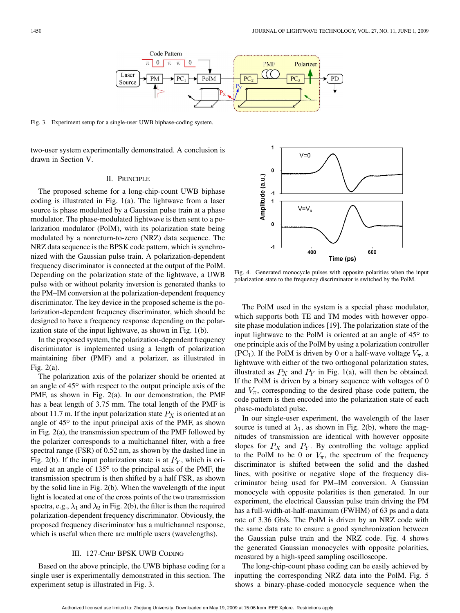

Fig. 3. Experiment setup for a single-user UWB biphase-coding system.

two-user system experimentally demonstrated. A conclusion is drawn in Section V.

## II. PRINCIPLE

The proposed scheme for a long-chip-count UWB biphase coding is illustrated in Fig. 1(a). The lightwave from a laser source is phase modulated by a Gaussian pulse train at a phase modulator. The phase-modulated lightwave is then sent to a polarization modulator (PolM), with its polarization state being modulated by a nonreturn-to-zero (NRZ) data sequence. The NRZ data sequence is the BPSK code pattern, which is synchronized with the Gaussian pulse train. A polarization-dependent frequency discriminator is connected at the output of the PolM. Depending on the polarization state of the lightwave, a UWB pulse with or without polarity inversion is generated thanks to the PM–IM conversion at the polarization-dependent frequency discriminator. The key device in the proposed scheme is the polarization-dependent frequency discriminator, which should be designed to have a frequency response depending on the polarization state of the input lightwave, as shown in Fig. 1(b).

In the proposed system, the polarization-dependent frequency discriminator is implemented using a length of polarization maintaining fiber (PMF) and a polarizer, as illustrated in Fig. 2(a).

The polarization axis of the polarizer should be oriented at an angle of  $45^{\circ}$  with respect to the output principle axis of the PMF, as shown in Fig. 2(a). In our demonstration, the PMF has a beat length of 3.75 mm. The total length of the PMF is about 11.7 m. If the input polarization state  $P_X$  is oriented at an angle of  $45^{\circ}$  to the input principal axis of the PMF, as shown in Fig. 2(a), the transmission spectrum of the PMF followed by the polarizer corresponds to a multichannel filter, with a free spectral range (FSR) of 0.52 nm, as shown by the dashed line in Fig. 2(b). If the input polarization state is at  $P<sub>Y</sub>$ , which is oriented at an angle of  $135^{\circ}$  to the principal axis of the PMF, the transmission spectrum is then shifted by a half FSR, as shown by the solid line in Fig. 2(b). When the wavelength of the input light is located at one of the cross points of the two transmission spectra, e.g.,  $\lambda_1$  and  $\lambda_2$  in Fig. 2(b), the filter is then the required polarization-dependent frequency discriminator. Obviously, the proposed frequency discriminator has a multichannel response, which is useful when there are multiple users (wavelengths).

# III. 127-CHIP BPSK UWB CODING

Based on the above principle, the UWB biphase coding for a single user is experimentally demonstrated in this section. The experiment setup is illustrated in Fig. 3.



Fig. 4. Generated monocycle pulses with opposite polarities when the input polarization state to the frequency discriminator is switched by the PolM.

The PolM used in the system is a special phase modulator, which supports both TE and TM modes with however opposite phase modulation indices [19]. The polarization state of the input lightwave to the PolM is oriented at an angle of  $45^{\circ}$  to one principle axis of the PolM by using a polarization controller  $(PC<sub>1</sub>)$ . If the PolM is driven by 0 or a half-wave voltage  $V_{\pi}$ , a lightwave with either of the two orthogonal polarization states, illustrated as  $P_X$  and  $P_Y$  in Fig. 1(a), will then be obtained. If the PolM is driven by a binary sequence with voltages of 0 and  $V_{\pi}$ , corresponding to the desired phase code pattern, the code pattern is then encoded into the polarization state of each phase-modulated pulse.

In our single-user experiment, the wavelength of the laser source is tuned at  $\lambda_1$ , as shown in Fig. 2(b), where the magnitudes of transmission are identical with however opposite slopes for  $P_X$  and  $P_Y$ . By controlling the voltage applied to the PolM to be 0 or  $V_{\pi}$ , the spectrum of the frequency discriminator is shifted between the solid and the dashed lines, with positive or negative slope of the frequency discriminator being used for PM–IM conversion. A Gaussian monocycle with opposite polarities is then generated. In our experiment, the electrical Gaussian pulse train driving the PM has a full-width-at-half-maximum (FWHM) of 63 ps and a data rate of 3.36 Gb/s. The PolM is driven by an NRZ code with the same data rate to ensure a good synchronization between the Gaussian pulse train and the NRZ code. Fig. 4 shows the generated Gaussian monocycles with opposite polarities, measured by a high-speed sampling oscilloscope.

The long-chip-count phase coding can be easily achieved by inputting the corresponding NRZ data into the PolM. Fig. 5 shows a binary-phase-coded monocycle sequence when the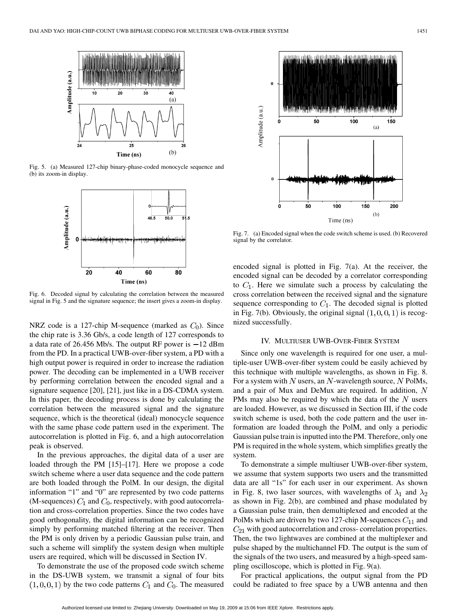

Fig. 5. (a) Measured 127-chip binary-phase-coded monocycle sequence and (b) its zoom-in display.



Fig. 6. Decoded signal by calculating the correlation between the measured signal in Fig. 5 and the signature sequence; the insert gives a zoom-in display.

NRZ code is a 127-chip M-sequence (marked as  $C_0$ ). Since the chip rate is 3.36 Gb/s, a code length of 127 corresponds to a data rate of  $26.456$  Mb/s. The output RF power is  $-12$  dBm from the PD. In a practical UWB-over-fiber system, a PD with a high output power is required in order to increase the radiation power. The decoding can be implemented in a UWB receiver by performing correlation between the encoded signal and a signature sequence [20], [21], just like in a DS-CDMA system. In this paper, the decoding process is done by calculating the correlation between the measured signal and the signature sequence, which is the theoretical (ideal) monocycle sequence with the same phase code pattern used in the experiment. The autocorrelation is plotted in Fig. 6, and a high autocorrelation peak is observed.

In the previous approaches, the digital data of a user are loaded through the PM [15]–[17]. Here we propose a code switch scheme where a user data sequence and the code pattern are both loaded through the PolM. In our design, the digital information "1" and "0" are represented by two code patterns (M-sequences)  $C_1$  and  $C_0$ , respectively, with good autocorrelation and cross-correlation properties. Since the two codes have good orthogonality, the digital information can be recognized simply by performing matched filtering at the receiver. Then the PM is only driven by a periodic Gaussian pulse train, and such a scheme will simplify the system design when multiple users are required, which will be discussed in Section IV.

To demonstrate the use of the proposed code switch scheme in the DS-UWB system, we transmit a signal of four bits  $(1,0,0,1)$  by the two code patterns  $C_1$  and  $C_0$ . The measured



Fig. 7. (a) Encoded signal when the code switch scheme is used. (b) Recovered signal by the correlator.

encoded signal is plotted in Fig. 7(a). At the receiver, the encoded signal can be decoded by a correlator corresponding to  $C_1$ . Here we simulate such a process by calculating the cross correlation between the received signal and the signature sequence corresponding to  $C_1$ . The decoded signal is plotted in Fig. 7(b). Obviously, the original signal  $(1,0,0,1)$  is recognized successfully.

## IV. MULTIUSER UWB-OVER-FIBER SYSTEM

Since only one wavelength is required for one user, a multiple-user UWB-over-fiber system could be easily achieved by this technique with multiple wavelengths, as shown in Fig. 8. For a system with  $N$  users, an  $N$ -wavelength source,  $N$  PolMs, and a pair of Mux and DeMux are required. In addition,  $N$ PMs may also be required by which the data of the  $N$  users are loaded. However, as we discussed in Section III, if the code switch scheme is used, both the code pattern and the user information are loaded through the PolM, and only a periodic Gaussian pulse train is inputted into the PM. Therefore, only one PM is required in the whole system, which simplifies greatly the system.

To demonstrate a simple multiuser UWB-over-fiber system, we assume that system supports two users and the transmitted data are all "1s" for each user in our experiment. As shown in Fig. 8, two laser sources, with wavelengths of  $\lambda_1$  and  $\lambda_2$ as shown in Fig. 2(b), are combined and phase modulated by a Gaussian pulse train, then demultiplexed and encoded at the PolMs which are driven by two 127-chip M-sequences  $C_{11}$  and  $C_{21}$  with good autocorrelation and cross- correlation properties. Then, the two lightwaves are combined at the multiplexer and pulse shaped by the multichannel FD. The output is the sum of the signals of the two users, and measured by a high-speed sampling oscilloscope, which is plotted in Fig. 9(a).

For practical applications, the output signal from the PD could be radiated to free space by a UWB antenna and then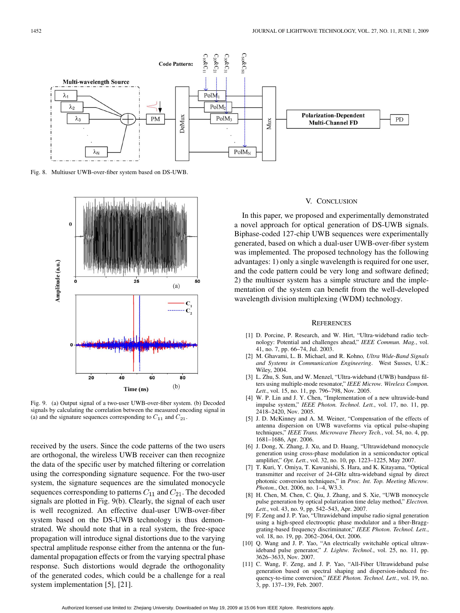

Fig. 8. Multiuser UWB-over-fiber system based on DS-UWB.



Fig. 9. (a) Output signal of a two-user UWB-over-fiber system. (b) Decoded signals by calculating the correlation between the measured encoding signal in (a) and the signature sequences corresponding to  $C_{11}$  and  $C_{21}$ .

received by the users. Since the code patterns of the two users are orthogonal, the wireless UWB receiver can then recognize the data of the specific user by matched filtering or correlation using the corresponding signature sequence. For the two-user system, the signature sequences are the simulated monocycle sequences corresponding to patterns  $C_{11}$  and  $C_{21}$ . The decoded signals are plotted in Fig. 9(b). Clearly, the signal of each user is well recognized. An effective dual-user UWB-over-fiber system based on the DS-UWB technology is thus demonstrated. We should note that in a real system, the free-space propagation will introduce signal distortions due to the varying spectral amplitude response either from the antenna or the fundamental propagation effects or from the varying spectral phase response. Such distortions would degrade the orthogonality of the generated codes, which could be a challenge for a real system implementation [5], [21].

## V. CONCLUSION

In this paper, we proposed and experimentally demonstrated a novel approach for optical generation of DS-UWB signals. Biphase-coded 127-chip UWB sequences were experimentally generated, based on which a dual-user UWB-over-fiber system was implemented. The proposed technology has the following advantages: 1) only a single wavelength is required for one user, and the code pattern could be very long and software defined; 2) the multiuser system has a simple structure and the implementation of the system can benefit from the well-developed wavelength division multiplexing (WDM) technology.

#### **REFERENCES**

- [1] D. Porcine, P. Research, and W. Hirt, "Ultra-wideband radio technology: Potential and challenges ahead," *IEEE Commun. Mag.*, vol. 41, no. 7, pp. 66–74, Jul. 2003.
- [2] M. Ghavami, L. B. Michael, and R. Kohno*, Ultra Wide-Band Signals and Systems in Communication Engineering*. West Susses, U.K.: Wiley, 2004.
- [3] L. Zhu, S. Sun, and W. Menzel, "Ultra-wideband (UWB) bandpass filters using multiple-mode resonator," *IEEE Microw. Wireless Compon. Lett.*, vol. 15, no. 11, pp. 796–798, Nov. 2005.
- [4] W. P. Lin and J. Y. Chen, "Implementation of a new ultrawide-band impulse system," *IEEE Photon. Technol. Lett.*, vol. 17, no. 11, pp. 2418–2420, Nov. 2005.
- [5] J. D. McKinney and A. M. Weiner, "Compensation of the effects of antenna dispersion on UWB waveforms via optical pulse-shaping techniques," *IEEE Trans. Microwave Theory Tech.*, vol. 54, no. 4, pp. 1681–1686, Apr. 2006.
- [6] J. Dong, X. Zhang, J. Xu, and D. Huang, "Ultrawideband monocycle generation using cross-phase modulation in a semiconductor optical amplifier," *Opt. Lett.*, vol. 32, no. 10, pp. 1223–1225, May 2007.
- [7] T. Kuri, Y. Omiya, T. Kawanishi, S. Hara, and K. Kitayama, "Optical transmitter and receiver of 24-GHz ultra-wideband signal by direct photonic conversion techniques," in *Proc. Int. Top. Meeting Microw. Photon.*, Oct. 2006, no. 1–4, W3.3.
- [8] H. Chen, M. Chen, C. Qiu, J. Zhang, and S. Xie, "UWB monocycle pulse generation by optical polarization time delay method," *Electron. Lett.*, vol. 43, no. 9, pp. 542–543, Apr. 2007.
- [9] F. Zeng and J. P. Yao, "Ultrawideband impulse radio signal generation using a high-speed electrooptic phase modulator and a fiber-Bragggrating-based frequency discriminator," *IEEE Photon. Technol. Lett.*, vol. 18, no. 19, pp. 2062–2064, Oct. 2006.
- [10] Q. Wang and J. P. Yao, "An electrically switchable optical ultrawideband pulse generator," *J. Lightw. Technol.*, vol. 25, no. 11, pp. 3626–3633, Nov. 2007.
- [11] C. Wang, F. Zeng, and J. P. Yao, "All-Fiber Ultrawideband pulse generation based on spectral shaping and dispersion-induced frequency-to-time conversion," *IEEE Photon. Technol. Lett.*, vol. 19, no. 3, pp. 137–139, Feb. 2007.